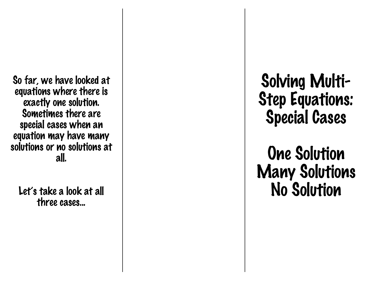So far, we have looked at equations where there is exactly one solution. Sometimes there are special cases when an equation may have many solutions or no solutions at all.

Let's take a look at all three cases...

Solving Multi - Step Equations: Special Cases

# One Solution Many Solutions No Solution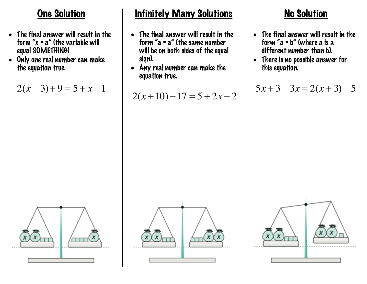## One Solution

- The final answer will result in the form " $x = a$ " (the variable will equal SOMETHING)
- Only one real number can make the equation true.

 $2(x-3)+9=5+x-1$ 



### **Infinitely Many Solutions**

- The final answer will result in the form "a =  $a$ " (the same number will be on both sides of the equal sign).
- Any real number can make the equation true.

 $2(x+10)-17=5+2x-2$ 

### No Solution

- The final answer will result in the form " $a = b$ " (where a is a different number than b).
- There is no possible answer for this equation.

 $5x+3-3x=2(x+3)-5$ 



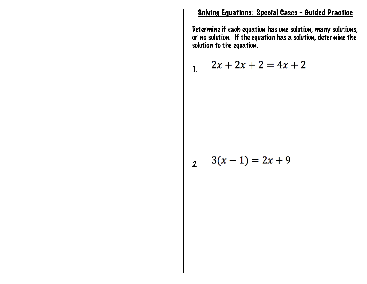#### Solving Equations: Special Cases – Guided Practice

Determine if each equation has one solution, many solutions, or no solution. If the equation has a solution, determine the solution to the equation.

1. 
$$
2x + 2x + 2 = 4x + 2
$$

$$
2. \quad 3(x-1) = 2x + 9
$$